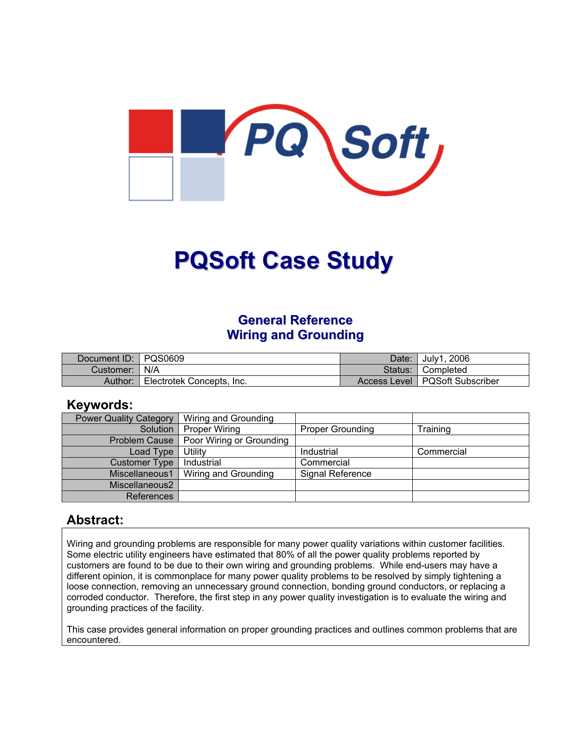

# **PQSoft Case Study**

# **General Reference Wiring and Grounding**

| Document ID: PQS0609 |                           | Date:     | July1, 2006                      |
|----------------------|---------------------------|-----------|----------------------------------|
| Customer:   N/A      |                           | Status: I | Completed                        |
| Author:              | Electrotek Concepts, Inc. |           | Access Level   PQSoft Subscriber |

### **Keywords:**

| <b>Power Quality Category</b> | Wiring and Grounding     |                         |            |
|-------------------------------|--------------------------|-------------------------|------------|
| Solution                      | <b>Proper Wiring</b>     | <b>Proper Grounding</b> | Training   |
| <b>Problem Cause</b>          | Poor Wiring or Grounding |                         |            |
| Load Type                     | Utility                  | Industrial              | Commercial |
| <b>Customer Type</b>          | Industrial               | Commercial              |            |
| Miscellaneous1                | Wiring and Grounding     | Signal Reference        |            |
| Miscellaneous2                |                          |                         |            |
| References                    |                          |                         |            |

### **Abstract:**

Wiring and grounding problems are responsible for many power quality variations within customer facilities. Some electric utility engineers have estimated that 80% of all the power quality problems reported by customers are found to be due to their own wiring and grounding problems. While end-users may have a different opinion, it is commonplace for many power quality problems to be resolved by simply tightening a loose connection, removing an unnecessary ground connection, bonding ground conductors, or replacing a corroded conductor. Therefore, the first step in any power quality investigation is to evaluate the wiring and grounding practices of the facility.

This case provides general information on proper grounding practices and outlines common problems that are encountered.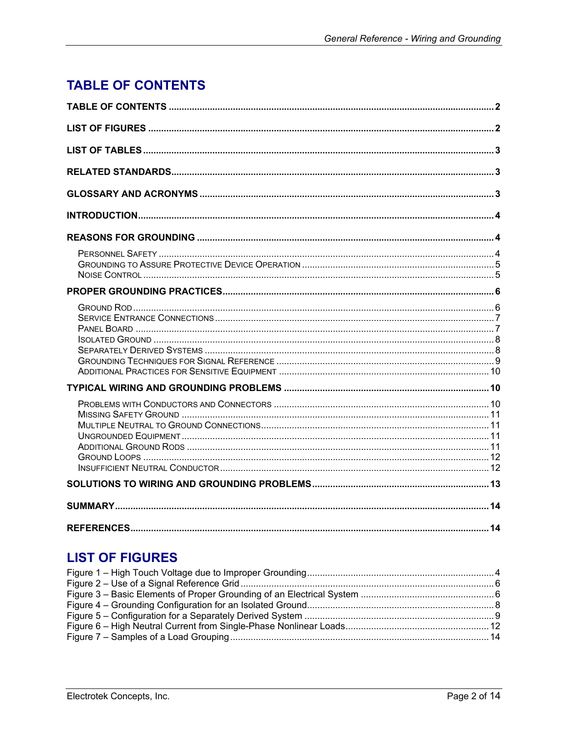# <span id="page-1-0"></span>**TABLE OF CONTENTS**

# **LIST OF FIGURES**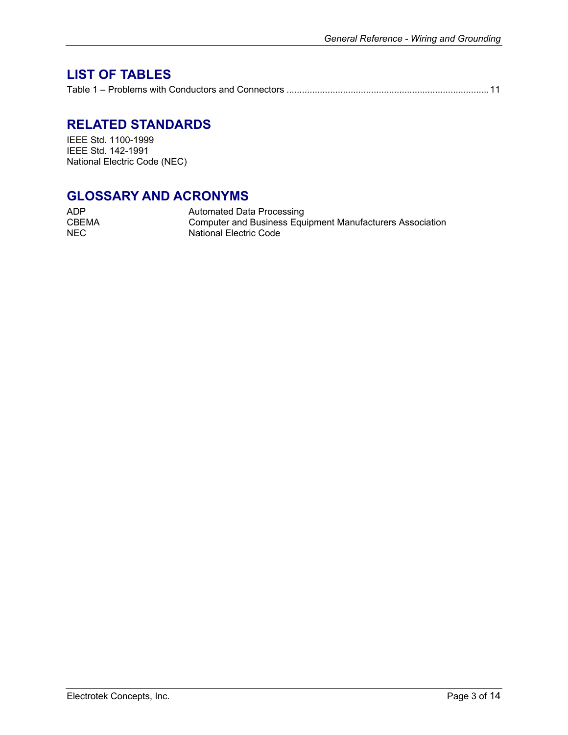# <span id="page-2-0"></span>**LIST OF TABLES**

[Table 1 – Problems with Conductors and Connectors](#page-10-0) ...............................................................................11

# **RELATED STANDARDS**

IEEE Std. 1100-1999 IEEE Std. 142-1991 National Electric Code (NEC)

# **GLOSSARY AND ACRONYMS**

Automated Data Processing<br>CBEMA Computer and Business Equ CBEMA Computer and Business Equipment Manufacturers Association<br>
National Electric Code<br>
National Electric Code National Electric Code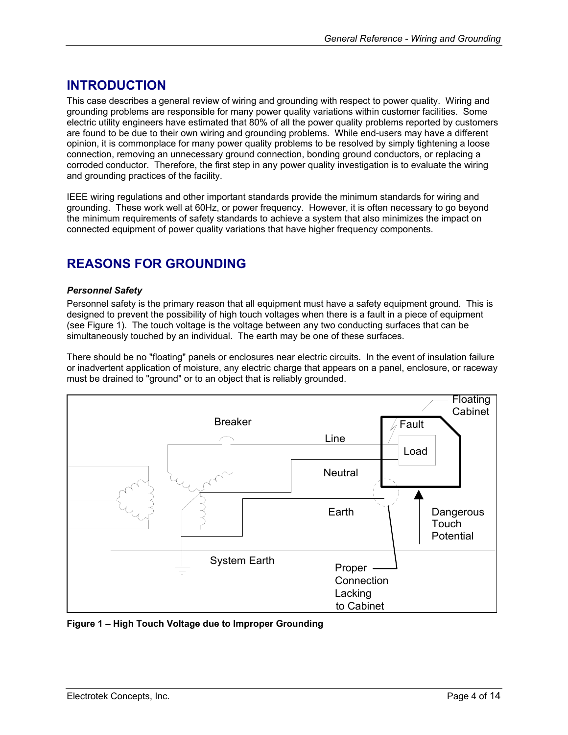# <span id="page-3-0"></span>**INTRODUCTION**

This case describes a general review of wiring and grounding with respect to power quality. Wiring and grounding problems are responsible for many power quality variations within customer facilities. Some electric utility engineers have estimated that 80% of all the power quality problems reported by customers are found to be due to their own wiring and grounding problems. While end-users may have a different opinion, it is commonplace for many power quality problems to be resolved by simply tightening a loose connection, removing an unnecessary ground connection, bonding ground conductors, or replacing a corroded conductor. Therefore, the first step in any power quality investigation is to evaluate the wiring and grounding practices of the facility.

IEEE wiring regulations and other important standards provide the minimum standards for wiring and grounding. These work well at 60Hz, or power frequency. However, it is often necessary to go beyond the minimum requirements of safety standards to achieve a system that also minimizes the impact on connected equipment of power quality variations that have higher frequency components.

# **REASONS FOR GROUNDING**

#### *Personnel Safety*

Personnel safety is the primary reason that all equipment must have a safety equipment ground. This is designed to prevent the possibility of high touch voltages when there is a fault in a piece of equipment (see [Figure 1\)](#page-3-1). The touch voltage is the voltage between any two conducting surfaces that can be simultaneously touched by an individual. The earth may be one of these surfaces.

There should be no "floating" panels or enclosures near electric circuits. In the event of insulation failure or inadvertent application of moisture, any electric charge that appears on a panel, enclosure, or raceway must be drained to "ground" or to an object that is reliably grounded.

<span id="page-3-1"></span>

**Figure 1 – High Touch Voltage due to Improper Grounding**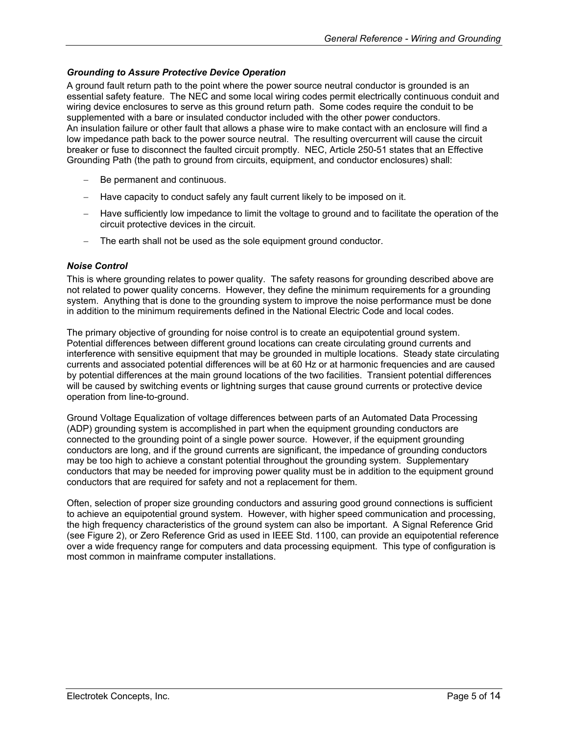#### <span id="page-4-0"></span>*Grounding to Assure Protective Device Operation*

A ground fault return path to the point where the power source neutral conductor is grounded is an essential safety feature. The NEC and some local wiring codes permit electrically continuous conduit and wiring device enclosures to serve as this ground return path. Some codes require the conduit to be supplemented with a bare or insulated conductor included with the other power conductors. An insulation failure or other fault that allows a phase wire to make contact with an enclosure will find a low impedance path back to the power source neutral. The resulting overcurrent will cause the circuit breaker or fuse to disconnect the faulted circuit promptly. NEC, Article 250-51 states that an Effective Grounding Path (the path to ground from circuits, equipment, and conductor enclosures) shall:

- Be permanent and continuous.
- − Have capacity to conduct safely any fault current likely to be imposed on it.
- − Have sufficiently low impedance to limit the voltage to ground and to facilitate the operation of the circuit protective devices in the circuit.
- − The earth shall not be used as the sole equipment ground conductor.

#### *Noise Control*

This is where grounding relates to power quality. The safety reasons for grounding described above are not related to power quality concerns. However, they define the minimum requirements for a grounding system. Anything that is done to the grounding system to improve the noise performance must be done in addition to the minimum requirements defined in the National Electric Code and local codes.

The primary objective of grounding for noise control is to create an equipotential ground system. Potential differences between different ground locations can create circulating ground currents and interference with sensitive equipment that may be grounded in multiple locations. Steady state circulating currents and associated potential differences will be at 60 Hz or at harmonic frequencies and are caused by potential differences at the main ground locations of the two facilities. Transient potential differences will be caused by switching events or lightning surges that cause ground currents or protective device operation from line-to-ground.

Ground Voltage Equalization of voltage differences between parts of an Automated Data Processing (ADP) grounding system is accomplished in part when the equipment grounding conductors are connected to the grounding point of a single power source. However, if the equipment grounding conductors are long, and if the ground currents are significant, the impedance of grounding conductors may be too high to achieve a constant potential throughout the grounding system. Supplementary conductors that may be needed for improving power quality must be in addition to the equipment ground conductors that are required for safety and not a replacement for them.

Often, selection of proper size grounding conductors and assuring good ground connections is sufficient to achieve an equipotential ground system. However, with higher speed communication and processing, the high frequency characteristics of the ground system can also be important. A Signal Reference Grid (see [Figure 2\)](#page-5-1), or Zero Reference Grid as used in IEEE Std. 1100, can provide an equipotential reference over a wide frequency range for computers and data processing equipment. This type of configuration is most common in mainframe computer installations.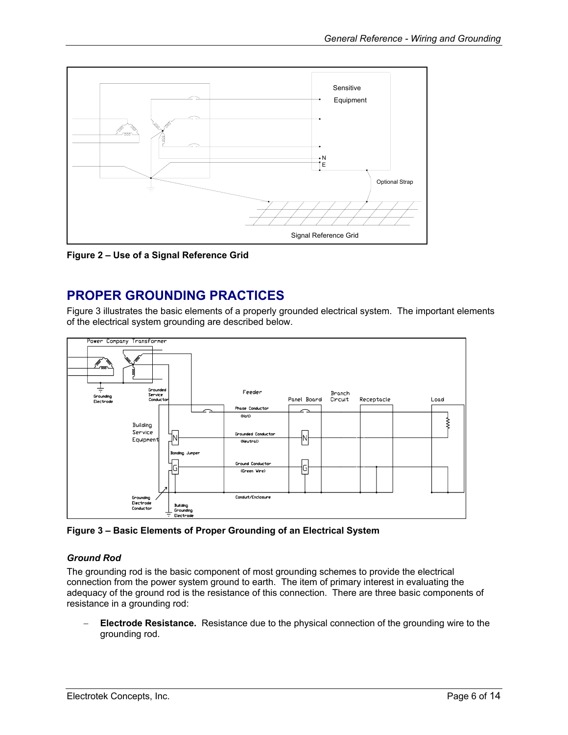<span id="page-5-1"></span><span id="page-5-0"></span>

**Figure 2 – Use of a Signal Reference Grid** 

# **PROPER GROUNDING PRACTICES**

[Figure 3](#page-5-2) illustrates the basic elements of a properly grounded electrical system. The important elements of the electrical system grounding are described below.

<span id="page-5-2"></span>

**Figure 3 – Basic Elements of Proper Grounding of an Electrical System** 

#### *Ground Rod*

The grounding rod is the basic component of most grounding schemes to provide the electrical connection from the power system ground to earth. The item of primary interest in evaluating the adequacy of the ground rod is the resistance of this connection. There are three basic components of resistance in a grounding rod:

− **Electrode Resistance.** Resistance due to the physical connection of the grounding wire to the grounding rod.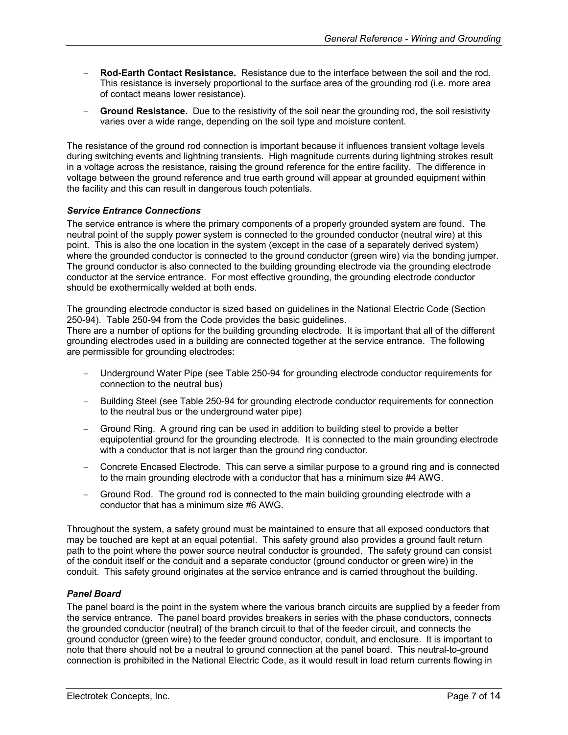- <span id="page-6-0"></span>− **Rod-Earth Contact Resistance.** Resistance due to the interface between the soil and the rod. This resistance is inversely proportional to the surface area of the grounding rod (i.e. more area of contact means lower resistance).
- **Ground Resistance.** Due to the resistivity of the soil near the grounding rod, the soil resistivity varies over a wide range, depending on the soil type and moisture content.

The resistance of the ground rod connection is important because it influences transient voltage levels during switching events and lightning transients. High magnitude currents during lightning strokes result in a voltage across the resistance, raising the ground reference for the entire facility. The difference in voltage between the ground reference and true earth ground will appear at grounded equipment within the facility and this can result in dangerous touch potentials.

#### *Service Entrance Connections*

The service entrance is where the primary components of a properly grounded system are found. The neutral point of the supply power system is connected to the grounded conductor (neutral wire) at this point. This is also the one location in the system (except in the case of a separately derived system) where the grounded conductor is connected to the ground conductor (green wire) via the bonding jumper. The ground conductor is also connected to the building grounding electrode via the grounding electrode conductor at the service entrance. For most effective grounding, the grounding electrode conductor should be exothermically welded at both ends.

The grounding electrode conductor is sized based on guidelines in the National Electric Code (Section 250-94). Table 250-94 from the Code provides the basic guidelines.

There are a number of options for the building grounding electrode. It is important that all of the different grounding electrodes used in a building are connected together at the service entrance. The following are permissible for grounding electrodes:

- Underground Water Pipe (see Table 250-94 for grounding electrode conductor requirements for connection to the neutral bus)
- − Building Steel (see Table 250-94 for grounding electrode conductor requirements for connection to the neutral bus or the underground water pipe)
- − Ground Ring. A ground ring can be used in addition to building steel to provide a better equipotential ground for the grounding electrode. It is connected to the main grounding electrode with a conductor that is not larger than the ground ring conductor.
- − Concrete Encased Electrode. This can serve a similar purpose to a ground ring and is connected to the main grounding electrode with a conductor that has a minimum size #4 AWG.
- Ground Rod. The ground rod is connected to the main building grounding electrode with a conductor that has a minimum size #6 AWG.

Throughout the system, a safety ground must be maintained to ensure that all exposed conductors that may be touched are kept at an equal potential. This safety ground also provides a ground fault return path to the point where the power source neutral conductor is grounded. The safety ground can consist of the conduit itself or the conduit and a separate conductor (ground conductor or green wire) in the conduit. This safety ground originates at the service entrance and is carried throughout the building.

#### *Panel Board*

The panel board is the point in the system where the various branch circuits are supplied by a feeder from the service entrance. The panel board provides breakers in series with the phase conductors, connects the grounded conductor (neutral) of the branch circuit to that of the feeder circuit, and connects the ground conductor (green wire) to the feeder ground conductor, conduit, and enclosure. It is important to note that there should not be a neutral to ground connection at the panel board. This neutral-to-ground connection is prohibited in the National Electric Code, as it would result in load return currents flowing in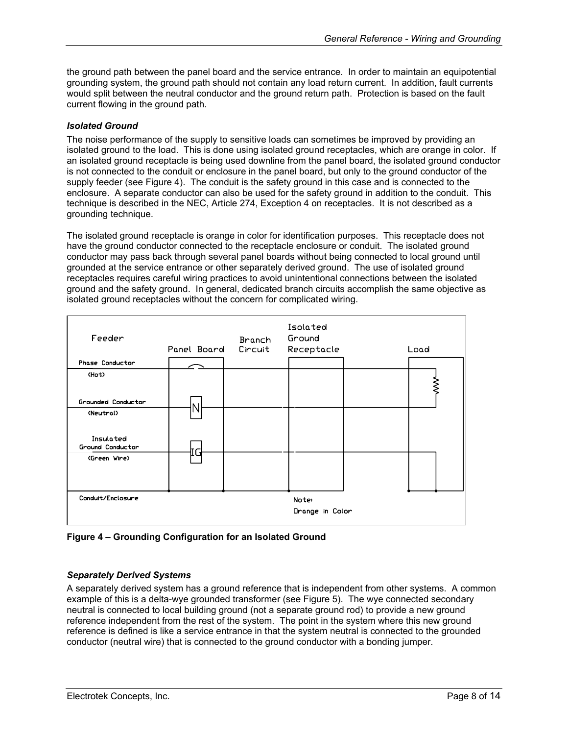<span id="page-7-0"></span>the ground path between the panel board and the service entrance. In order to maintain an equipotential grounding system, the ground path should not contain any load return current. In addition, fault currents would split between the neutral conductor and the ground return path. Protection is based on the fault current flowing in the ground path.

#### *Isolated Ground*

The noise performance of the supply to sensitive loads can sometimes be improved by providing an isolated ground to the load. This is done using isolated ground receptacles, which are orange in color. If an isolated ground receptacle is being used downline from the panel board, the isolated ground conductor is not connected to the conduit or enclosure in the panel board, but only to the ground conductor of the supply feeder (see [Figure 4\)](#page-7-1). The conduit is the safety ground in this case and is connected to the enclosure. A separate conductor can also be used for the safety ground in addition to the conduit. This technique is described in the NEC, Article 274, Exception 4 on receptacles. It is not described as a grounding technique.

The isolated ground receptacle is orange in color for identification purposes. This receptacle does not have the ground conductor connected to the receptacle enclosure or conduit. The isolated ground conductor may pass back through several panel boards without being connected to local ground until grounded at the service entrance or other separately derived ground. The use of isolated ground receptacles requires careful wiring practices to avoid unintentional connections between the isolated ground and the safety ground. In general, dedicated branch circuits accomplish the same objective as isolated ground receptacles without the concern for complicated wiring.

<span id="page-7-1"></span>

**Figure 4 – Grounding Configuration for an Isolated Ground** 

#### *Separately Derived Systems*

A separately derived system has a ground reference that is independent from other systems. A common example of this is a delta-wye grounded transformer (see [Figure 5\)](#page-8-1). The wye connected secondary neutral is connected to local building ground (not a separate ground rod) to provide a new ground reference independent from the rest of the system. The point in the system where this new ground reference is defined is like a service entrance in that the system neutral is connected to the grounded conductor (neutral wire) that is connected to the ground conductor with a bonding jumper.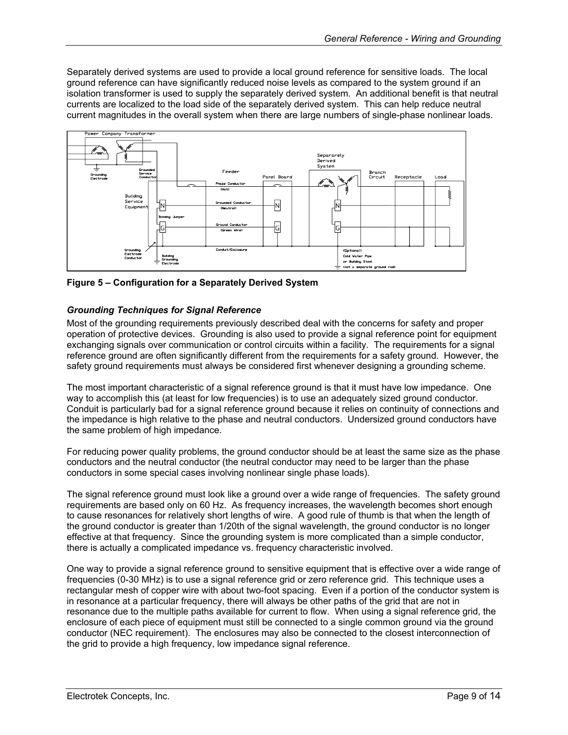<span id="page-8-0"></span>Separately derived systems are used to provide a local ground reference for sensitive loads. The local ground reference can have significantly reduced noise levels as compared to the system ground if an isolation transformer is used to supply the separately derived system. An additional benefit is that neutral currents are localized to the load side of the separately derived system. This can help reduce neutral current magnitudes in the overall system when there are large numbers of single-phase nonlinear loads.

<span id="page-8-1"></span>

**Figure 5 – Configuration for a Separately Derived System** 

#### *Grounding Techniques for Signal Reference*

Most of the grounding requirements previously described deal with the concerns for safety and proper operation of protective devices. Grounding is also used to provide a signal reference point for equipment exchanging signals over communication or control circuits within a facility. The requirements for a signal reference ground are often significantly different from the requirements for a safety ground. However, the safety ground requirements must always be considered first whenever designing a grounding scheme.

The most important characteristic of a signal reference ground is that it must have low impedance. One way to accomplish this (at least for low frequencies) is to use an adequately sized ground conductor. Conduit is particularly bad for a signal reference ground because it relies on continuity of connections and the impedance is high relative to the phase and neutral conductors. Undersized ground conductors have the same problem of high impedance.

For reducing power quality problems, the ground conductor should be at least the same size as the phase conductors and the neutral conductor (the neutral conductor may need to be larger than the phase conductors in some special cases involving nonlinear single phase loads).

The signal reference ground must look like a ground over a wide range of frequencies. The safety ground requirements are based only on 60 Hz. As frequency increases, the wavelength becomes short enough to cause resonances for relatively short lengths of wire. A good rule of thumb is that when the length of the ground conductor is greater than 1/20th of the signal wavelength, the ground conductor is no longer effective at that frequency. Since the grounding system is more complicated than a simple conductor, there is actually a complicated impedance vs. frequency characteristic involved.

One way to provide a signal reference ground to sensitive equipment that is effective over a wide range of frequencies (0-30 MHz) is to use a signal reference grid or zero reference grid. This technique uses a rectangular mesh of copper wire with about two-foot spacing. Even if a portion of the conductor system is in resonance at a particular frequency, there will always be other paths of the grid that are not in resonance due to the multiple paths available for current to flow. When using a signal reference grid, the enclosure of each piece of equipment must still be connected to a single common ground via the ground conductor (NEC requirement). The enclosures may also be connected to the closest interconnection of the grid to provide a high frequency, low impedance signal reference.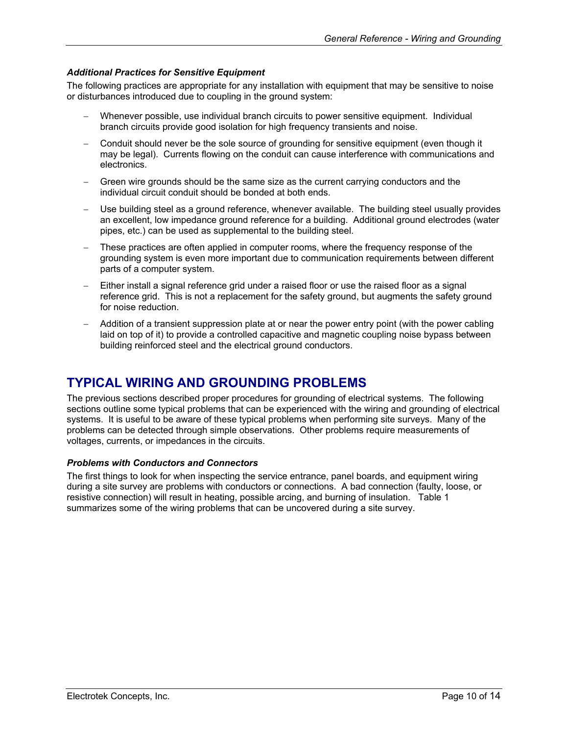#### <span id="page-9-0"></span>*Additional Practices for Sensitive Equipment*

The following practices are appropriate for any installation with equipment that may be sensitive to noise or disturbances introduced due to coupling in the ground system:

- Whenever possible, use individual branch circuits to power sensitive equipment. Individual branch circuits provide good isolation for high frequency transients and noise.
- − Conduit should never be the sole source of grounding for sensitive equipment (even though it may be legal). Currents flowing on the conduit can cause interference with communications and electronics.
- − Green wire grounds should be the same size as the current carrying conductors and the individual circuit conduit should be bonded at both ends.
- − Use building steel as a ground reference, whenever available. The building steel usually provides an excellent, low impedance ground reference for a building. Additional ground electrodes (water pipes, etc.) can be used as supplemental to the building steel.
- − These practices are often applied in computer rooms, where the frequency response of the grounding system is even more important due to communication requirements between different parts of a computer system.
- Either install a signal reference grid under a raised floor or use the raised floor as a signal reference grid. This is not a replacement for the safety ground, but augments the safety ground for noise reduction.
- − Addition of a transient suppression plate at or near the power entry point (with the power cabling laid on top of it) to provide a controlled capacitive and magnetic coupling noise bypass between building reinforced steel and the electrical ground conductors.

### **TYPICAL WIRING AND GROUNDING PROBLEMS**

The previous sections described proper procedures for grounding of electrical systems. The following sections outline some typical problems that can be experienced with the wiring and grounding of electrical systems. It is useful to be aware of these typical problems when performing site surveys. Many of the problems can be detected through simple observations. Other problems require measurements of voltages, currents, or impedances in the circuits.

#### *Problems with Conductors and Connectors*

The first things to look for when inspecting the service entrance, panel boards, and equipment wiring during a site survey are problems with conductors or connections. A bad connection (faulty, loose, or resistive connection) will result in heating, possible arcing, and burning of insulation. [Table 1](#page-10-1)  summarizes some of the wiring problems that can be uncovered during a site survey.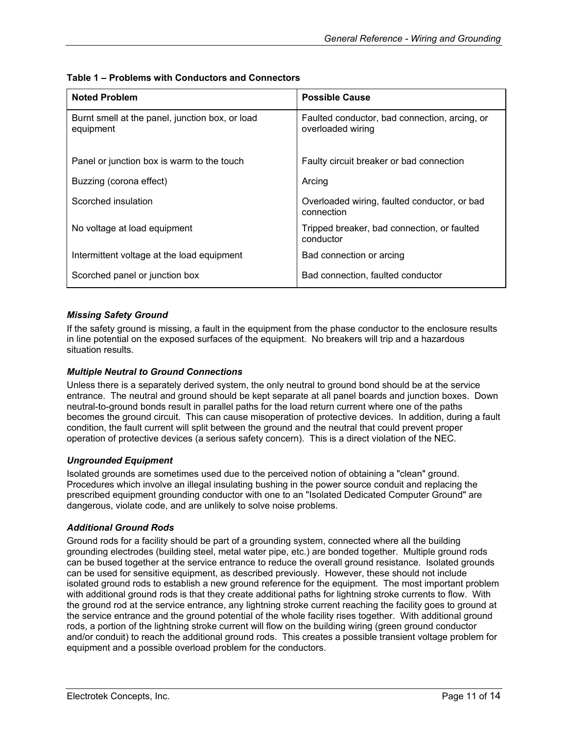| <b>Noted Problem</b>                                         | <b>Possible Cause</b>                                              |  |
|--------------------------------------------------------------|--------------------------------------------------------------------|--|
| Burnt smell at the panel, junction box, or load<br>equipment | Faulted conductor, bad connection, arcing, or<br>overloaded wiring |  |
| Panel or junction box is warm to the touch                   | Faulty circuit breaker or bad connection                           |  |
| Buzzing (corona effect)                                      | Arcing                                                             |  |
| Scorched insulation                                          | Overloaded wiring, faulted conductor, or bad<br>connection         |  |
| No voltage at load equipment                                 | Tripped breaker, bad connection, or faulted<br>conductor           |  |
| Intermittent voltage at the load equipment                   | Bad connection or arcing                                           |  |
| Scorched panel or junction box                               | Bad connection, faulted conductor                                  |  |

<span id="page-10-1"></span><span id="page-10-0"></span>**Table 1 – Problems with Conductors and Connectors** 

#### *Missing Safety Ground*

If the safety ground is missing, a fault in the equipment from the phase conductor to the enclosure results in line potential on the exposed surfaces of the equipment. No breakers will trip and a hazardous situation results.

#### *Multiple Neutral to Ground Connections*

Unless there is a separately derived system, the only neutral to ground bond should be at the service entrance. The neutral and ground should be kept separate at all panel boards and junction boxes. Down neutral-to-ground bonds result in parallel paths for the load return current where one of the paths becomes the ground circuit. This can cause misoperation of protective devices. In addition, during a fault condition, the fault current will split between the ground and the neutral that could prevent proper operation of protective devices (a serious safety concern). This is a direct violation of the NEC.

#### *Ungrounded Equipment*

Isolated grounds are sometimes used due to the perceived notion of obtaining a "clean" ground. Procedures which involve an illegal insulating bushing in the power source conduit and replacing the prescribed equipment grounding conductor with one to an "Isolated Dedicated Computer Ground" are dangerous, violate code, and are unlikely to solve noise problems.

#### *Additional Ground Rods*

Ground rods for a facility should be part of a grounding system, connected where all the building grounding electrodes (building steel, metal water pipe, etc.) are bonded together. Multiple ground rods can be bused together at the service entrance to reduce the overall ground resistance. Isolated grounds can be used for sensitive equipment, as described previously. However, these should not include isolated ground rods to establish a new ground reference for the equipment. The most important problem with additional ground rods is that they create additional paths for lightning stroke currents to flow. With the ground rod at the service entrance, any lightning stroke current reaching the facility goes to ground at the service entrance and the ground potential of the whole facility rises together. With additional ground rods, a portion of the lightning stroke current will flow on the building wiring (green ground conductor and/or conduit) to reach the additional ground rods. This creates a possible transient voltage problem for equipment and a possible overload problem for the conductors.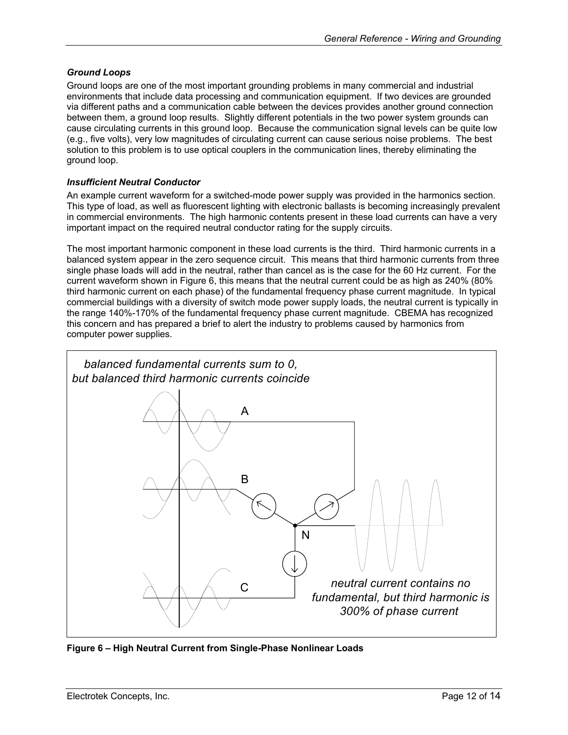#### <span id="page-11-0"></span>*Ground Loops*

Ground loops are one of the most important grounding problems in many commercial and industrial environments that include data processing and communication equipment. If two devices are grounded via different paths and a communication cable between the devices provides another ground connection between them, a ground loop results. Slightly different potentials in the two power system grounds can cause circulating currents in this ground loop. Because the communication signal levels can be quite low (e.g., five volts), very low magnitudes of circulating current can cause serious noise problems. The best solution to this problem is to use optical couplers in the communication lines, thereby eliminating the ground loop.

#### *Insufficient Neutral Conductor*

An example current waveform for a switched-mode power supply was provided in the harmonics section. This type of load, as well as fluorescent lighting with electronic ballasts is becoming increasingly prevalent in commercial environments. The high harmonic contents present in these load currents can have a very important impact on the required neutral conductor rating for the supply circuits.

The most important harmonic component in these load currents is the third. Third harmonic currents in a balanced system appear in the zero sequence circuit. This means that third harmonic currents from three single phase loads will add in the neutral, rather than cancel as is the case for the 60 Hz current. For the current waveform shown in [Figure 6,](#page-11-1) this means that the neutral current could be as high as 240% (80% third harmonic current on each phase) of the fundamental frequency phase current magnitude. In typical commercial buildings with a diversity of switch mode power supply loads, the neutral current is typically in the range 140%-170% of the fundamental frequency phase current magnitude. CBEMA has recognized this concern and has prepared a brief to alert the industry to problems caused by harmonics from computer power supplies.

<span id="page-11-1"></span>

**Figure 6 – High Neutral Current from Single-Phase Nonlinear Loads**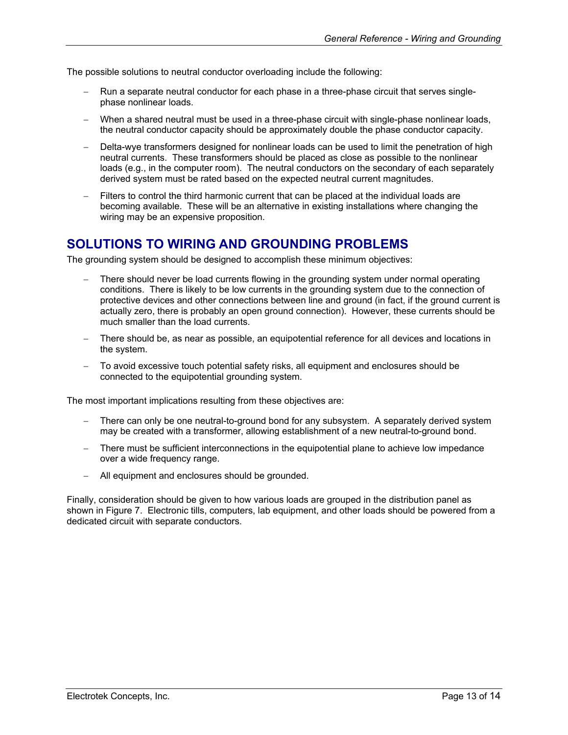<span id="page-12-0"></span>The possible solutions to neutral conductor overloading include the following:

- − Run a separate neutral conductor for each phase in a three-phase circuit that serves singlephase nonlinear loads.
- − When a shared neutral must be used in a three-phase circuit with single-phase nonlinear loads, the neutral conductor capacity should be approximately double the phase conductor capacity.
- Delta-wye transformers designed for nonlinear loads can be used to limit the penetration of high neutral currents. These transformers should be placed as close as possible to the nonlinear loads (e.g., in the computer room). The neutral conductors on the secondary of each separately derived system must be rated based on the expected neutral current magnitudes.
- Filters to control the third harmonic current that can be placed at the individual loads are becoming available. These will be an alternative in existing installations where changing the wiring may be an expensive proposition.

### **SOLUTIONS TO WIRING AND GROUNDING PROBLEMS**

The grounding system should be designed to accomplish these minimum objectives:

- There should never be load currents flowing in the grounding system under normal operating conditions. There is likely to be low currents in the grounding system due to the connection of protective devices and other connections between line and ground (in fact, if the ground current is actually zero, there is probably an open ground connection). However, these currents should be much smaller than the load currents.
- − There should be, as near as possible, an equipotential reference for all devices and locations in the system.
- − To avoid excessive touch potential safety risks, all equipment and enclosures should be connected to the equipotential grounding system.

The most important implications resulting from these objectives are:

- There can only be one neutral-to-ground bond for any subsystem. A separately derived system may be created with a transformer, allowing establishment of a new neutral-to-ground bond.
- − There must be sufficient interconnections in the equipotential plane to achieve low impedance over a wide frequency range.
- − All equipment and enclosures should be grounded.

Finally, consideration should be given to how various loads are grouped in the distribution panel as shown in [Figure 7.](#page-13-1) Electronic tills, computers, lab equipment, and other loads should be powered from a dedicated circuit with separate conductors.